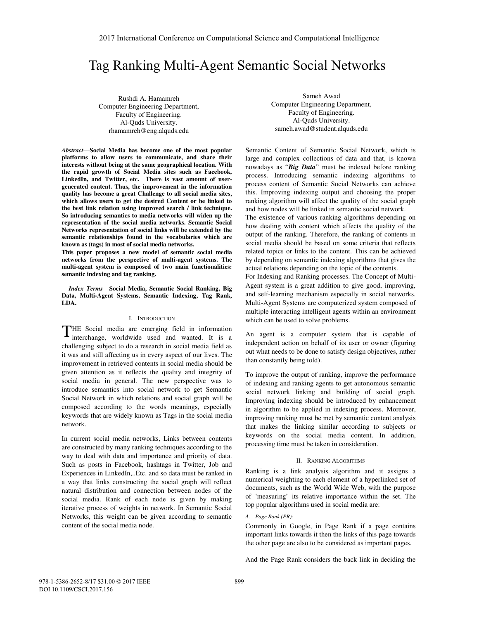# Tag Ranking Multi-Agent Semantic Social Networks

Rushdi A. Hamamreh Computer Engineering Department, Faculty of Engineering. Al-Quds University. rhamamreh@eng.alquds.edu

*Abstract***²Social Media has become one of the most popular platforms to allow users to communicate, and share their interests without being at the same geographical location. With the rapid growth of Social Media sites such as Facebook, LinkedIn, and Twitter, etc. There is vast amount of usergenerated content. Thus, the improvement in the information quality has become a great Challenge to all social media sites, which allows users to get the desired Content or be linked to the best link relation using improved search / link technique. So introducing semantics to media networks will widen up the representation of the social media networks. Semantic Social Networks representation of social links will be extended by the semantic relationships found in the vocabularies which are known as (tags) in most of social media networks.** 

**This paper proposes a new model of semantic social media networks from the perspective of multi-agent systems. The multi-agent system is composed of two main functionalities: semantic indexing and tag ranking.** 

*Index Terms***²Social Media, Semantic Social Ranking, Big Data, Multi-Agent Systems, Semantic Indexing, Tag Rank, LDA.**

#### I. INTRODUCTION

THE Social media are emerging field in information interchange, worldwide used and wanted. It is a interchange, worldwide used and wanted. It is a challenging subject to do a research in social media field as it was and still affecting us in every aspect of our lives. The improvement in retrieved contents in social media should be given attention as it reflects the quality and integrity of social media in general. The new perspective was to introduce semantics into social network to get Semantic Social Network in which relations and social graph will be composed according to the words meanings, especially keywords that are widely known as Tags in the social media network.

In current social media networks, Links between contents are constructed by many ranking techniques according to the way to deal with data and importance and priority of data. Such as posts in Facebook, hashtags in Twitter, Job and Experiences in LinkedIn,..Etc. and so data must be ranked in a way that links constructing the social graph will reflect natural distribution and connection between nodes of the social media. Rank of each node is given by making iterative process of weights in network. In Semantic Social Networks, this weight can be given according to semantic content of the social media node.

Sameh Awad Computer Engineering Department, Faculty of Engineering. Al-Quds University. sameh.awad@student.alquds.edu

Semantic Content of Semantic Social Network, which is large and complex collections of data and that, is known nowadays as "*Big Data*" must be indexed before ranking process. Introducing semantic indexing algorithms to process content of Semantic Social Networks can achieve this. Improving indexing output and choosing the proper ranking algorithm will affect the quality of the social graph and how nodes will be linked in semantic social network.

The existence of various ranking algorithms depending on how dealing with content which affects the quality of the output of the ranking. Therefore, the ranking of contents in social media should be based on some criteria that reflects related topics or links to the content. This can be achieved by depending on semantic indexing algorithms that gives the actual relations depending on the topic of the contents.

For Indexing and Ranking processes. The Concept of Multi-Agent system is a great addition to give good, improving, and self-learning mechanism especially in social networks. Multi-Agent Systems are computerized system composed of multiple interacting intelligent agents within an environment which can be used to solve problems.

An agent is a computer system that is capable of independent action on behalf of its user or owner (figuring out what needs to be done to satisfy design objectives, rather than constantly being told).

To improve the output of ranking, improve the performance of indexing and ranking agents to get autonomous semantic social network linking and building of social graph. Improving indexing should be introduced by enhancement in algorithm to be applied in indexing process. Moreover, improving ranking must be met by semantic content analysis that makes the linking similar according to subjects or keywords on the social media content. In addition, processing time must be taken in consideration.

#### II. RANKING ALGORITHMS

Ranking is a link analysis algorithm and it assigns a numerical weighting to each element of a hyperlinked set of documents, such as the World Wide Web, with the purpose of "measuring" its relative importance within the set. The top popular algorithms used in social media are:

## *A. Page Rank (PR):*

Commonly in Google, in Page Rank if a page contains important links towards it then the links of this page towards the other page are also to be considered as important pages.

And the Page Rank considers the back link in deciding the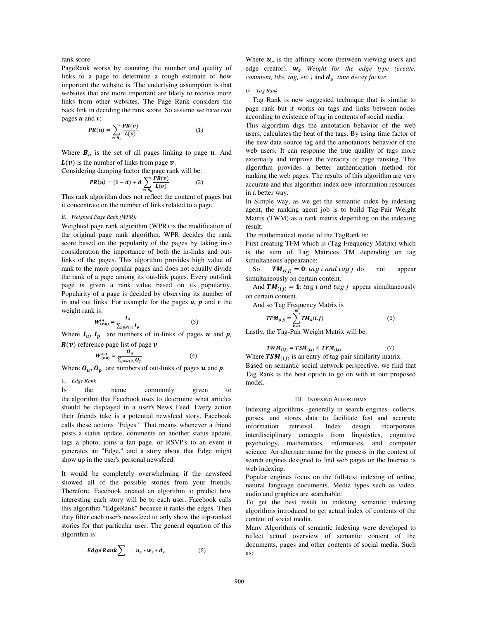rank score.

PageRank works by counting the number and quality of links to a page to determine a rough estimate of how important the website is. The underlying assumption is that websites that are more important are likely to receive more links from other websites. The Page Rank considers the back link in deciding the rank score. So assume we have two pages *u* and *v*:

$$
PR(u) = \sum_{v \in B_u} \frac{PR(v)}{L(v)} \tag{1}
$$

Where  $B_u$  is the set of all pages linking to page  $u$ . And  $L(\nu)$  is the number of links from page  $\nu$ .

Considering damping factor the page rank will be:

$$
PR(u) = (1 - d) + d \sum_{v \in B_u} \frac{PR(v)}{L(v)}
$$
 (2)

This rank algorithm does not reflect the content of pages but it concentrate on the number of links related to a page.

# *B. Weighted Page Rank (WPR):*

Weighted page rank algorithm (WPR) is the modification of the original page rank algorithm. WPR decides the rank score based on the popularity of the pages by taking into consideration the importance of both the in-links and outlinks of the pages. This algorithm provides high value of rank to the more popular pages and does not equally divide the rank of a page among its out-link pages. Every out-link page is given a rank value based on its popularity. Popularity of a page is decided by observing its number of in and out links. For example for the pages *u, p* and *v* the weight rank is:

$$
W_{(v,u)}^{in} = \frac{I_u}{\sum_{p \in R(v)} I_p}
$$
(3)

Where  $I_u$ ,  $I_p$  are numbers of in-links of pages  $u$  and  $p$ ,  $R(v)$  reference page list of page  $v$ 

$$
W_{(v,u)}^{out} = \frac{O_u}{\sum_{p \in R(v)} O_p}
$$
 (4)

Where  $\boldsymbol{O}_u$ ,  $\boldsymbol{O}_p$  are numbers of out-links of pages  $\boldsymbol{u}$  and  $\boldsymbol{p}$ .

# *C. Edge Rank*

Is the name commonly given to the algorithm that Facebook uses to determine what articles should be displayed in a user's News Feed. Every action their friends take is a potential newsfeed story. Facebook calls these actions "Edges." That means whenever a friend posts a status update, comments on another status update, tags a photo, joins a fan page, or RSVP's to an event it generates an "Edge," and a story about that Edge might show up in the user's personal newsfeed.

It would be completely overwhelming if the newsfeed showed all of the possible stories from your friends. Therefore, Facebook created an algorithm to predict how interesting each story will be to each user. Facebook calls this algorithm "EdgeRank" because it ranks the edges. Then they filter each user's newsfeed to only show the top-ranked stories for that particular user. The general equation of this algorithm is:

$$
Edge Rank \sum = u_e * w_e * d_e \tag{5}
$$

Where  $\mathbf{u}_{e}$  is the affinity score (between viewing users and edge creator).  $W_e$  Weight for the edge type (create, *comment, like, tag, etc.)* and  $d_e$  time decay factor.

# *D. Tag Rank*

Tag Rank is new suggested technique that is similar to page rank but it works on tags and links between nodes according to existence of tag in contents of social media.

This algorithm digs the annotation behavior of the web users, calculates the heat of the tags. By using time factor of the new data source tag and the annotations behavior of the web users. It can response the true quality of tags more externally and improve the veracity of page ranking. This algorithm provides a better authentication method for ranking the web pages. The results of this algorithm are very accurate and this algorithm index new information resources in a better way.

In Simple way, as we get the semantic index by indexing agent, the ranking agent job is to build Tag-Pair Weight Matrix (TWM) as a rank matrix depending on the indexing result.

The mathematical model of the TagRank is:

First creating TFM which is (Tag Frequency Matrix) which is the sum of Tag Matrices TM depending on tag simultaneous appearance:

So  $TM_{(i,j)} = 0$ : tag i and tag j do not appear simultaneously on certain content.

And  $TM_{(i,j)} = 1$ : tag i and tag j appear simultaneously on certain content.

And so Tag Frequency Matrix is

$$
TFM_{(i,j)} = \sum_{k=1}^{m} TM_k(i,j)
$$
 (6)

Lastly, the Tag-Pair Weight Matrix will be:

$$
TWM_{(i,j)} = TSM_{(i,j)} \times TFM_{(i,j)} \tag{7}
$$

Where  $TSM_{(i,j)}$  is an entry of tag-pair similarity matrix.

Based on semantic social network perspective, we find that Tag Rank is the best option to go on with in our proposed model.

# III. INDEXING ALGORITHMS

Indexing algorithms -generally in search engines- collects, parses, and stores data to facilitate fast and accurate information retrieval. Index design incorporates interdisciplinary concepts from linguistics, cognitive psychology, mathematics, informatics, and computer science. An alternate name for the process in the context of search engines designed to find web pages on the Internet is web indexing.

Popular engines focus on the full-text indexing of online, natural language documents. Media types such as video, audio and graphics are searchable.

To get the best result in indexing semantic indexing algorithms introduced to get actual index of contents of the content of social media.

Many Algorithms of semantic indexing were developed to reflect actual overview of semantic content of the documents, pages and other contents of social media. Such as: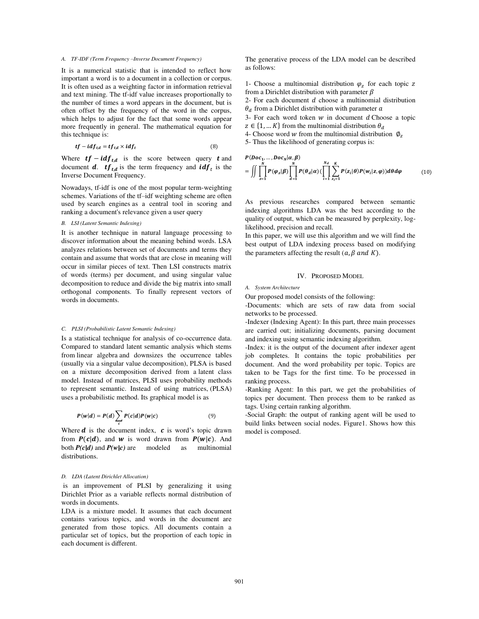## *A. TF-IDF (Term Frequency ±Inverse Document Frequency)*

It is a numerical statistic that is intended to reflect how important a word is to a document in a collection or corpus. It is often used as a weighting factor in information retrieval and text mining. The tf-idf value increases proportionally to the number of times a word appears in the document, but is often offset by the frequency of the word in the corpus, which helps to adjust for the fact that some words appear more frequently in general. The mathematical equation for this technique is:

$$
tf - idf_{t,d} = tf_{t,d} \times idf_t \tag{8}
$$

Where  $tf - idf_{t,d}$  is the score between query  $t$  and document **d**. **tf**<sub>**t**</sub><sup> $\overline{t}$ </sub> is the term frequency and **idf**<sub>t</sub> is the</sup> Inverse Document Frequency.

Nowadays, tf-idf is one of the most popular term-weighting schemes. Variations of the tf-idf weighting scheme are often used by search engines as a central tool in scoring and ranking a document's relevance given a user query

# *B. LSI (Latent Semantic Indexing)*

It is another technique in natural language processing to discover information about the meaning behind words. LSA analyzes relations between set of documents and terms they contain and assume that words that are close in meaning will occur in similar pieces of text. Then LSI constructs matrix of words (terms) per document, and using singular value decomposition to reduce and divide the big matrix into small orthogonal components. To finally represent vectors of words in documents.

# *C. PLSI (Probabilistic Latent Semantic Indexing)*

Is a statistical technique for analysis of co-occurrence data. Compared to standard latent semantic analysis which stems from linear algebra and downsizes the occurrence tables (usually via a singular value decomposition), PLSA is based on a mixture decomposition derived from a latent class model. Instead of matrices, PLSI uses probability methods to represent semantic. Instead of using matrices, (PLSA) uses a probabilistic method. Its graphical model is as

$$
P(w|d) = P(d) \sum_{c} P(c|d)P(w|c)
$$
 (9)

Where  $d$  is the document index,  $c$  is word's topic drawn from  $P(c|d)$ , and w is word drawn from  $P(w|c)$ . And both  $P(c|d)$  and  $P(w|c)$  are modeled as multinomial distributions.

### *D. LDA (Latent Dirichlet Allocation)*

 is an improvement of PLSI by generalizing it using Dirichlet Prior as a variable reflects normal distribution of words in documents.

LDA is a mixture model. It assumes that each document contains various topics, and words in the document are generated from those topics. All documents contain a particular set of topics, but the proportion of each topic in each document is different.

The generative process of the LDA model can be described as follows:

1- Choose a multinomial distribution  $\varphi_z$  for each topic z from a Dirichlet distribution with parameter  $\beta$ 

2- For each document  $d$  choose a multinomial distribution

 $\theta_d$  from a Dirichlet distribution with parameter  $\alpha$ 

3- For each word token  $w$  in document  $d$  Choose a topic

- $z \in \{1, ..., K\}$  from the multinomial distribution  $\theta_d$
- 4- Choose word w from the multinomial distribution  $\phi_z$
- 5- Thus the likelihood of generating corpus is:

$$
P(Doc_1, ..., Doc_N | \alpha, \beta)
$$
  
= 
$$
\iint_{z=1}^N P(\varphi_z | \beta) \prod_{d=1}^N P(\theta_d | \alpha) \left( \prod_{i=1}^{N_d} \sum_{z_i=1}^K P(z_i | \theta) P(w_i | z, \varphi) \right) d\theta d\varphi
$$
 (10)

As previous researches compared between semantic indexing algorithms LDA was the best according to the quality of output, which can be measured by perplexity, loglikelihood, precision and recall.

In this paper, we will use this algorithm and we will find the best output of LDA indexing process based on modifying the parameters affecting the result  $(a, \beta \text{ and } K)$ .

#### IV. PROPOSED MODEL

*A. System Architecture* 

Our proposed model consists of the following:

-Documents: which are sets of raw data from social networks to be processed.

-Indexer (Indexing Agent): In this part, three main processes are carried out; initializing documents, parsing document and indexing using semantic indexing algorithm.

-Index: it is the output of the document after indexer agent job completes. It contains the topic probabilities per document. And the word probability per topic. Topics are taken to be Tags for the first time. To be processed in ranking process.

-Ranking Agent: In this part, we get the probabilities of topics per document. Then process them to be ranked as tags. Using certain ranking algorithm.

-Social Graph: the output of ranking agent will be used to build links between social nodes. Figure1. Shows how this model is composed.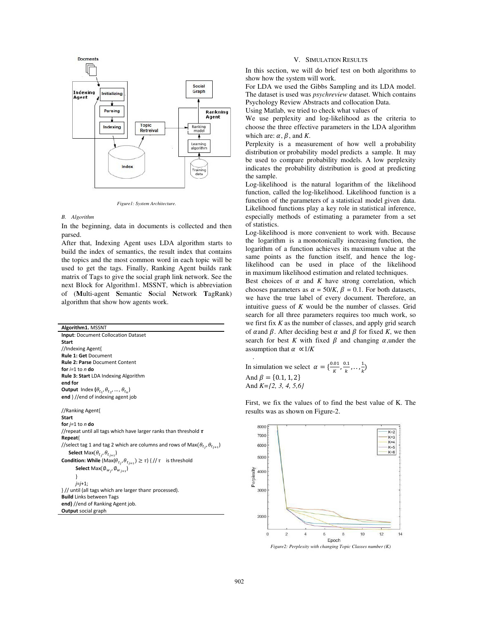

*Figure1: System Architecture.* 

#### *B. Algorithm*

In the beginning, data in documents is collected and then parsed.

After that, Indexing Agent uses LDA algorithm starts to build the index of semantics, the result index that contains the topics and the most common word in each topic will be used to get the tags. Finally, Ranking Agent builds rank matrix of Tags to give the social graph link network. See the next Block for Algorithm1. MSSNT, which is abbreviation of (**M**ulti-agent **S**emantic **S**ocial **N**etwork **T**agRank) algorithm that show how agents work.

| Algorithm1. MSSNT                                                                                                                                                                                                                 |  |
|-----------------------------------------------------------------------------------------------------------------------------------------------------------------------------------------------------------------------------------|--|
| Input: Document Collocation Dataset                                                                                                                                                                                               |  |
| <b>Start</b>                                                                                                                                                                                                                      |  |
| //Indexing Agent{                                                                                                                                                                                                                 |  |
| <b>Rule 1: Get Document</b>                                                                                                                                                                                                       |  |
| <b>Rule 2: Parse Document Content</b>                                                                                                                                                                                             |  |
| for $i=1$ to n do                                                                                                                                                                                                                 |  |
| <b>Rule 3: Start LDA Indexing Algorithm</b>                                                                                                                                                                                       |  |
| end for                                                                                                                                                                                                                           |  |
| <b>Output</b> Index $(\theta_{t_1}, \theta_{t_2}, , \theta_{t_n})$                                                                                                                                                                |  |
| end } //end of indexing agent job                                                                                                                                                                                                 |  |
|                                                                                                                                                                                                                                   |  |
| //Ranking Agent{                                                                                                                                                                                                                  |  |
| <b>Start</b>                                                                                                                                                                                                                      |  |
| for $i=1$ to n do                                                                                                                                                                                                                 |  |
| //repeat until all tags which have larger ranks than threshold $\tau$                                                                                                                                                             |  |
| Repeat{                                                                                                                                                                                                                           |  |
| //select tag 1 and tag 2 which are columns and rows of $\textsf{Max}(\theta_{t_i}, \theta_{t_{i+1}})$                                                                                                                             |  |
| <b>Select</b> Max $(\theta_{t_i}, \theta_{t_{i+1}})$                                                                                                                                                                              |  |
| <b>Condition: While</b> $(Max(\theta_{t_j}, \theta_{t_{j+1}}) \geq \tau)$ { // $\tau$ is threshold                                                                                                                                |  |
| Select Max $(\emptyset_{w_i}, \emptyset_{w_{i+1}})$                                                                                                                                                                               |  |
| ł                                                                                                                                                                                                                                 |  |
| $i=i+1$ ;                                                                                                                                                                                                                         |  |
| $\}/$ until (all tags which are larger than $\tau$ processed).                                                                                                                                                                    |  |
| <b>Build</b> Links between Tags                                                                                                                                                                                                   |  |
| $\mathbf{A}$ . The contract of the contract of the contract of the contract of the contract of the contract of the contract of the contract of the contract of the contract of the contract of the contract of the contract of th |  |

```
end} //end of Ranking Agent job.
Cutnut social graph
```
# V. SIMULATION RESULTS

In this section, we will do brief test on both algorithms to show how the system will work.

For LDA we used the Gibbs Sampling and its LDA model. The dataset is used was *psychreview* dataset. Which contains Psychology Review Abstracts and collocation Data.

Using Matlab, we tried to check what values of

We use perplexity and log-likelihood as the criteria to choose the three effective parameters in the LDA algorithm which are:  $\alpha$ ,  $\beta$ , and *K*.

Perplexity is a measurement of how well a probability distribution or probability model predicts a sample. It may be used to compare probability models. A low perplexity indicates the probability distribution is good at predicting the sample.

Log-likelihood is the natural logarithm of the likelihood function, called the log-likelihood. Likelihood function is a function of the parameters of a statistical model given data. Likelihood functions play a key role in statistical inference, especially methods of estimating a parameter from a set of statistics.

Log-likelihood is more convenient to work with. Because the logarithm is a monotonically increasing function, the logarithm of a function achieves its maximum value at the same points as the function itself, and hence the loglikelihood can be used in place of the likelihood in maximum likelihood estimation and related techniques.

Best choices of  $\alpha$  and  $K$  have strong correlation, which chooses parameters as  $\alpha = 50/K$ ,  $\beta = 0.1$ . For both datasets, we have the true label of every document. Therefore, an intuitive guess of *K* would be the number of classes. Grid search for all three parameters requires too much work, so we first fix *K* as the number of classes, and apply grid search of  $\alpha$ and  $\beta$ . After deciding best  $\alpha$  and  $\beta$  for fixed *K*, we then search for best *K* with fixed  $\beta$  and changing  $\alpha$ , under the assumption that  $\alpha \propto 1/K$ 

In simulation we select  $\alpha = \{\frac{0.01}{K}, \frac{0.1}{k}, \ldots, \frac{1}{k}\}$ And  $\beta = \{0.1, 1, 2\}$ And *K={2, 3, 4, 5,6}* 

.

First, we fix the values of to find the best value of K. The results was as shown on Figure-2.



*Figure2: Perplexity with changing Topic Classes number (K)*